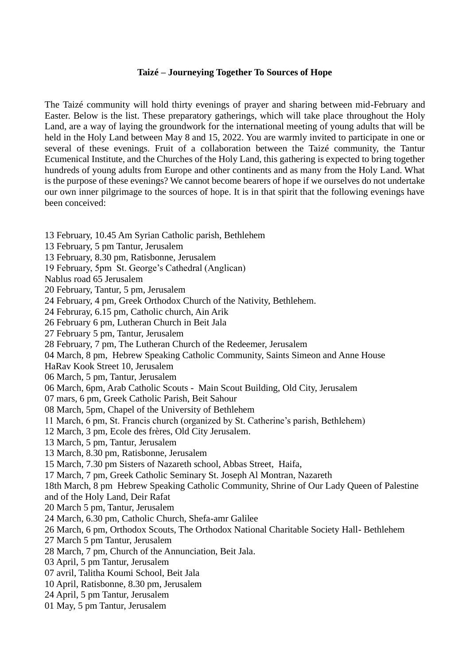## **Taizé – Journeying Together To Sources of Hope**

The Taizé community will hold thirty evenings of prayer and sharing between mid-February and Easter. Below is the list. These preparatory gatherings, which will take place throughout the Holy Land, are a way of laying the groundwork for the international meeting of young adults that will be held in the Holy Land between May 8 and 15, 2022. You are warmly invited to participate in one or several of these evenings. Fruit of a collaboration between the Taizé community, the Tantur Ecumenical Institute, and the Churches of the Holy Land, this gathering is expected to bring together hundreds of young adults from Europe and other continents and as many from the Holy Land. What is the purpose of these evenings? We cannot become bearers of hope if we ourselves do not undertake our own inner pilgrimage to the sources of hope. It is in that spirit that the following evenings have been conceived:

- 13 February, 10.45 Am Syrian Catholic parish, Bethlehem
- 13 February, 5 pm Tantur, Jerusalem
- 13 February, 8.30 pm, Ratisbonne, Jerusalem
- 19 February, 5pm St. George's Cathedral (Anglican)
- Nablus road 65 Jerusalem
- 20 February, Tantur, 5 pm, Jerusalem
- 24 February, 4 pm, Greek Orthodox Church of the Nativity, Bethlehem.
- 24 Februray, 6.15 pm, Catholic church, Ain Arik
- 26 February 6 pm, Lutheran Church in Beit Jala
- 27 February 5 pm, Tantur, Jerusalem
- 28 February, 7 pm, The Lutheran Church of the Redeemer, Jerusalem
- 04 March, 8 pm, Hebrew Speaking Catholic Community, Saints Simeon and Anne House
- HaRav Kook Street 10, Jerusalem
- 06 March, 5 pm, Tantur, Jerusalem
- 06 March, 6pm, Arab Catholic Scouts Main Scout Building, Old City, Jerusalem
- 07 mars, 6 pm, Greek Catholic Parish, Beit Sahour
- 08 March, 5pm, Chapel of the University of Bethlehem
- 11 March, 6 pm, St. Francis church (organized by St. Catherine's parish, Bethlehem)
- 12 March, 3 pm, Ecole des frères, Old City Jerusalem.
- 13 March, 5 pm, Tantur, Jerusalem
- 13 March, 8.30 pm, Ratisbonne, Jerusalem
- 15 March, 7.30 pm Sisters of Nazareth school, Abbas Street, Haifa,
- 17 March, 7 pm, Greek Catholic Seminary St. Joseph Al Montran, Nazareth
- 18th March, 8 pm Hebrew Speaking Catholic Community, Shrine of Our Lady Queen of Palestine
- and of the Holy Land, Deir Rafat
- 20 March 5 pm, Tantur, Jerusalem
- 24 March, 6.30 pm, Catholic Church, Shefa-amr Galilee
- 26 March, 6 pm, Orthodox Scouts, The Orthodox National Charitable Society Hall- Bethlehem
- 27 March 5 pm Tantur, Jerusalem
- 28 March, 7 pm, Church of the Annunciation, Beit Jala.
- 03 April, 5 pm Tantur, Jerusalem
- 07 avril, Talitha Koumi School, Beit Jala
- 10 April, Ratisbonne, 8.30 pm, Jerusalem
- 24 April, 5 pm Tantur, Jerusalem
- 01 May, 5 pm Tantur, Jerusalem